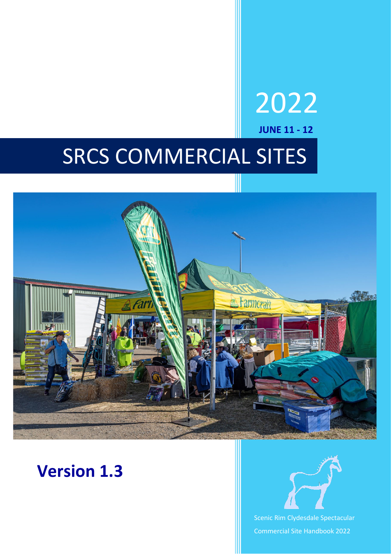# SRCS COMMERCIAL SITES



### **Version 1.3**



2022

**JUNE 11 - 12**

Scenic Rim Clydesdale Spectacular Commercial Site Handbook 2022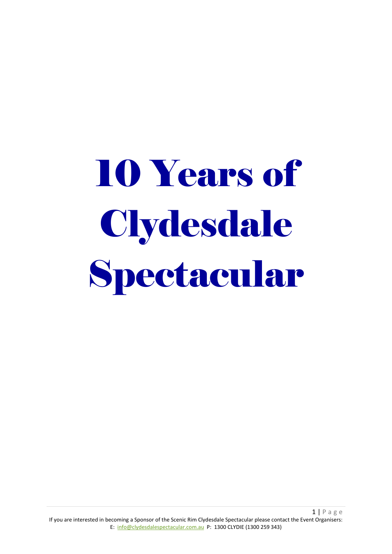# 10 Years of Clydesdale Spectacular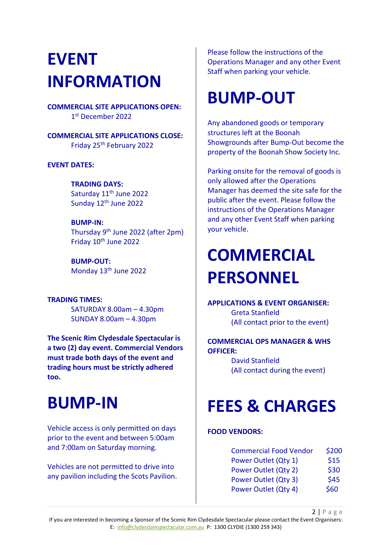### **EVENT INFORMATION**

**COMMERCIAL SITE APPLICATIONS OPEN:** 1st December 2022

**COMMERCIAL SITE APPLICATIONS CLOSE:** Friday 25th February 2022

**EVENT DATES:**

**TRADING DAYS:** Saturday 11<sup>th</sup> June 2022 Sunday 12<sup>th</sup> June 2022

**BUMP-IN:** Thursday 9th June 2022 (after 2pm) Friday 10<sup>th</sup> June 2022

**BUMP-OUT:** Monday 13th June 2022

### **TRADING TIMES:**

SATURDAY 8.00am – 4.30pm SUNDAY 8.00am – 4.30pm

**The Scenic Rim Clydesdale Spectacular is a two (2) day event. Commercial Vendors must trade both days of the event and trading hours must be strictly adhered too.**

### **BUMP-IN**

Vehicle access is only permitted on days prior to the event and between 5:00am and 7:00am on Saturday morning.

Vehicles are not permitted to drive into any pavilion including the Scots Pavilion.

Please follow the instructions of the Operations Manager and any other Event Staff when parking your vehicle.

### **BUMP-OUT**

Any abandoned goods or temporary structures left at the Boonah Showgrounds after Bump-Out become the property of the Boonah Show Society Inc.

Parking onsite for the removal of goods is only allowed after the Operations Manager has deemed the site safe for the public after the event. Please follow the instructions of the Operations Manager and any other Event Staff when parking your vehicle.

### **COMMERCIAL PERSONNEL**

**APPLICATIONS & EVENT ORGANISER:** Greta Stanfield (All contact prior to the event)

#### **COMMERCIAL OPS MANAGER & WHS OFFICER:**

David Stanfield (All contact during the event)

### **FEES & CHARGES**

#### **FOOD VENDORS:**

| <b>Commercial Food Vendor</b> | \$200 |
|-------------------------------|-------|
| Power Outlet (Qty 1)          | \$15  |
| Power Outlet (Qty 2)          | \$30  |
| Power Outlet (Qty 3)          | \$45  |
| Power Outlet (Qty 4)          | \$60  |

2 | Page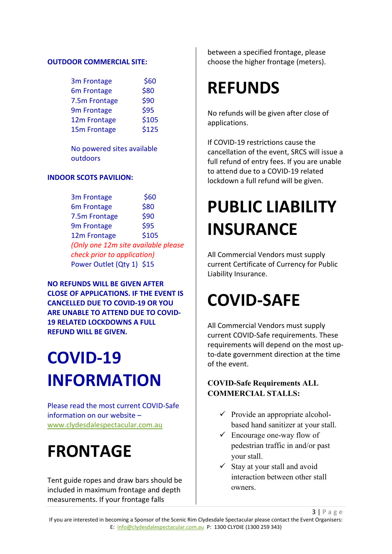#### **OUTDOOR COMMERCIAL SITE:**

| 3m Frontage   | \$60  |
|---------------|-------|
| 6m Frontage   | \$80  |
| 7.5m Frontage | \$90  |
| 9m Frontage   | \$95  |
| 12m Frontage  | \$105 |
| 15m Frontage  | \$125 |

No powered sites available outdoors

#### **INDOOR SCOTS PAVILION:**

3m Frontage \$60 6m Frontage \$80 7.5m Frontage \$90 9m Frontage \$95 12m Frontage \$105 *(Only one 12m site available please check prior to application)* Power Outlet (Qty 1) \$15

**NO REFUNDS WILL BE GIVEN AFTER CLOSE OF APPLICATIONS. IF THE EVENT IS CANCELLED DUE TO COVID-19 OR YOU ARE UNABLE TO ATTEND DUE TO COVID-19 RELATED LOCKDOWNS A FULL REFUND WILL BE GIVEN.**

### **COVID-19 INFORMATION**

Please read the most current COVID-Safe information on our website – [www.clydesdalespectacular.com.au](http://www.clydesdalespectacular.com.au/)

### **FRONTAGE**

Tent guide ropes and draw bars should be included in maximum frontage and depth measurements. If your frontage falls

between a specified frontage, please choose the higher frontage (meters).

### **REFUNDS**

No refunds will be given after close of applications.

If COVID-19 restrictions cause the cancellation of the event, SRCS will issue a full refund of entry fees. If you are unable to attend due to a COVID-19 related lockdown a full refund will be given.

### **PUBLIC LIABILITY INSURANCE**

All Commercial Vendors must supply current Certificate of Currency for Public Liability Insurance.

### **COVID-SAFE**

All Commercial Vendors must supply current COVID-Safe requirements. These requirements will depend on the most upto-date government direction at the time of the event.

#### **COVID-Safe Requirements ALL COMMERCIAL STALLS:**

- $\checkmark$  Provide an appropriate alcoholbased hand sanitizer at your stall.
- $\checkmark$  Encourage one-way flow of pedestrian traffic in and/or past your stall.
- $\checkmark$  Stay at your stall and avoid interaction between other stall owners.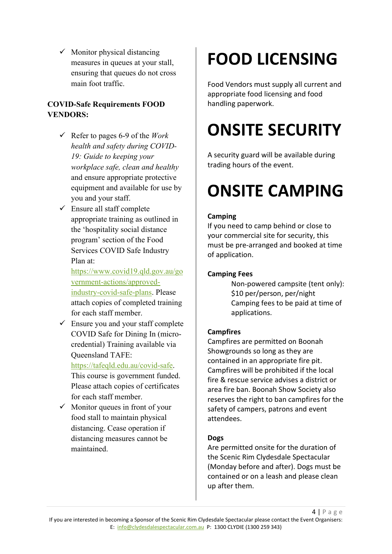$\checkmark$  Monitor physical distancing measures in queues at your stall, ensuring that queues do not cross main foot traffic.

#### **COVID-Safe Requirements FOOD VENDORS:**

- Refer to pages 6-9 of the *Work health and safety during COVID-19: Guide to keeping your workplace safe, clean and healthy* and ensure appropriate protective equipment and available for use by you and your staff.
- $\checkmark$  Ensure all staff complete appropriate training as outlined in the 'hospitality social distance program' section of the Food Services COVID Safe Industry Plan at:

[https://www.covid19.qld.gov.au/go](https://www.covid19.qld.gov.au/government-actions/approved-industry-covid-safe-plans) [vernment-actions/approved](https://www.covid19.qld.gov.au/government-actions/approved-industry-covid-safe-plans)[industry-covid-safe-plans.](https://www.covid19.qld.gov.au/government-actions/approved-industry-covid-safe-plans) Please attach copies of completed training for each staff member.

 $\checkmark$  Ensure you and your staff complete COVID Safe for Dining In (microcredential) Training available via Queensland TAFE:

[https://tafeqld.edu.au/covid-safe.](https://tafeqld.edu.au/covid-safe) This course is government funded. Please attach copies of certificates for each staff member.

 $\checkmark$  Monitor queues in front of your food stall to maintain physical distancing. Cease operation if distancing measures cannot be maintained.

# **FOOD LICENSING**

Food Vendors must supply all current and appropriate food licensing and food handling paperwork.

# **ONSITE SECURITY**

A security guard will be available during trading hours of the event.

### **ONSITE CAMPING**

#### **Camping**

If you need to camp behind or close to your commercial site for security, this must be pre-arranged and booked at time of application.

#### **Camping Fees**

Non-powered campsite (tent only): \$10 per/person, per/night Camping fees to be paid at time of applications.

#### **Campfires**

Campfires are permitted on Boonah Showgrounds so long as they are contained in an appropriate fire pit. Campfires will be prohibited if the local fire & rescue service advises a district or area fire ban. Boonah Show Society also reserves the right to ban campfires for the safety of campers, patrons and event attendees.

#### **Dogs**

Are permitted onsite for the duration of the Scenic Rim Clydesdale Spectacular (Monday before and after). Dogs must be contained or on a leash and please clean up after them.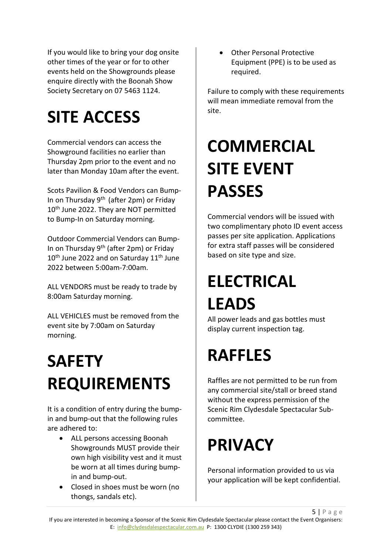If you would like to bring your dog onsite other times of the year or for to other events held on the Showgrounds please enquire directly with the Boonah Show Society Secretary on 07 5463 1124.

### **SITE ACCESS**

Commercial vendors can access the Showground facilities no earlier than Thursday 2pm prior to the event and no later than Monday 10am after the event.

Scots Pavilion & Food Vendors can Bump-In on Thursday  $9<sup>th</sup>$  (after 2pm) or Friday 10<sup>th</sup> June 2022. They are NOT permitted to Bump-In on Saturday morning.

Outdoor Commercial Vendors can Bump-In on Thursday 9<sup>th</sup> (after 2pm) or Friday 10<sup>th</sup> June 2022 and on Saturday 11<sup>th</sup> June 2022 between 5:00am-7:00am.

ALL VENDORS must be ready to trade by 8:00am Saturday morning.

ALL VEHICLES must be removed from the event site by 7:00am on Saturday morning.

# **SAFETY REQUIREMENTS**

It is a condition of entry during the bumpin and bump-out that the following rules are adhered to:

- ALL persons accessing Boonah Showgrounds MUST provide their own high visibility vest and it must be worn at all times during bumpin and bump-out.
- Closed in shoes must be worn (no thongs, sandals etc).

• Other Personal Protective Equipment (PPE) is to be used as required.

Failure to comply with these requirements will mean immediate removal from the site.

# **COMMERCIAL SITE EVENT PASSES**

Commercial vendors will be issued with two complimentary photo ID event access passes per site application. Applications for extra staff passes will be considered based on site type and size.

### **ELECTRICAL LEADS**

All power leads and gas bottles must display current inspection tag.

### **RAFFLES**

Raffles are not permitted to be run from any commercial site/stall or breed stand without the express permission of the Scenic Rim Clydesdale Spectacular Subcommittee.

### **PRIVACY**

Personal information provided to us via your application will be kept confidential.